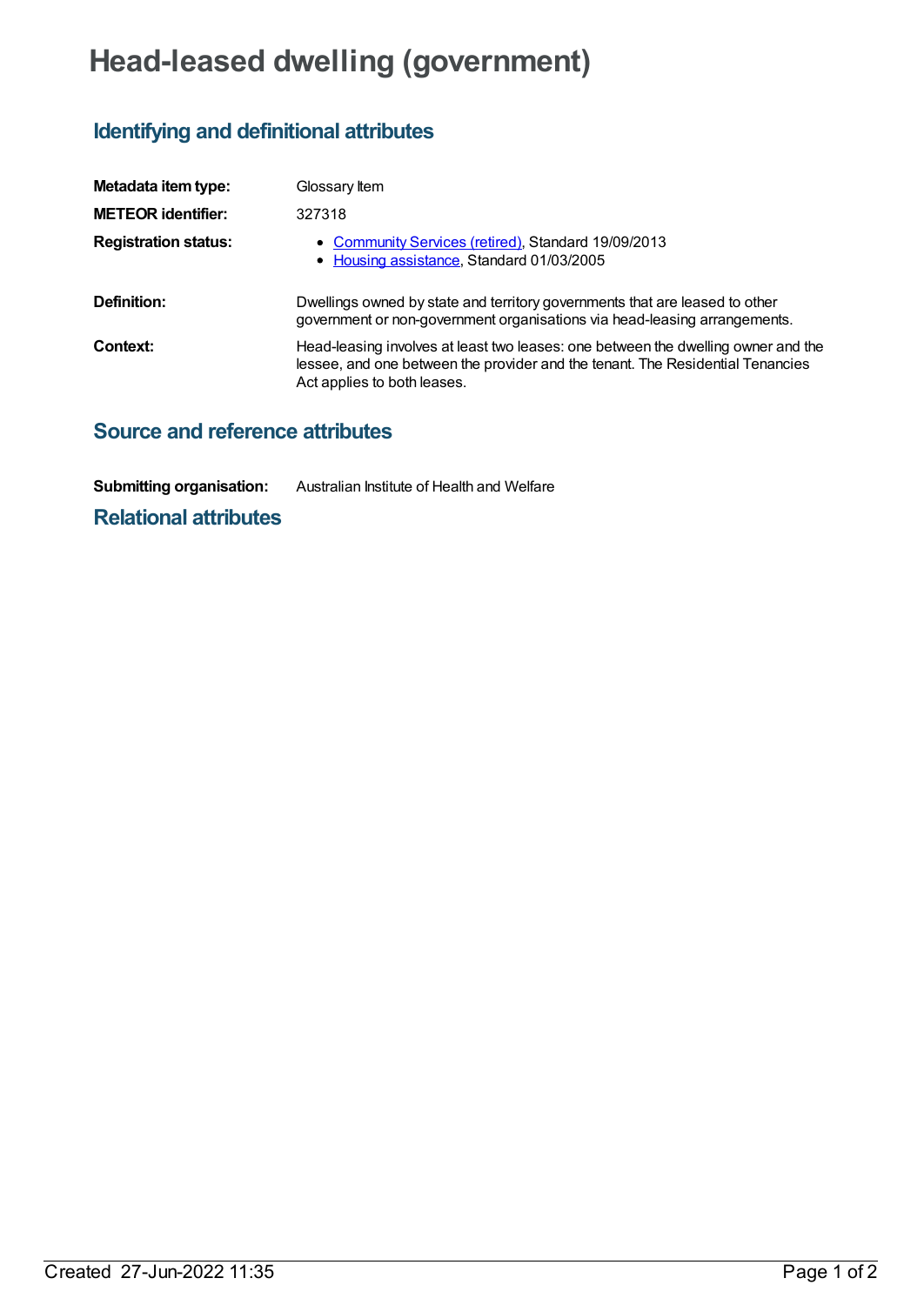# **Head-leased dwelling (government)**

# **Identifying and definitional attributes**

| Metadata item type:         | Glossary Item                                                                                                                                                                                      |
|-----------------------------|----------------------------------------------------------------------------------------------------------------------------------------------------------------------------------------------------|
| <b>METEOR identifier:</b>   | 327318                                                                                                                                                                                             |
| <b>Registration status:</b> | • Community Services (retired), Standard 19/09/2013<br>• Housing assistance, Standard 01/03/2005                                                                                                   |
| Definition:                 | Dwellings owned by state and territory governments that are leased to other<br>government or non-government organisations via head-leasing arrangements.                                           |
| Context:                    | Head-leasing involves at least two leases: one between the dwelling owner and the<br>lessee, and one between the provider and the tenant. The Residential Tenancies<br>Act applies to both leases. |

## **Source and reference attributes**

**Submitting organisation:** Australian Institute of Health and Welfare

### **Relational attributes**